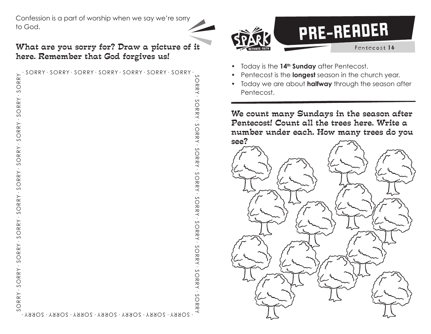Confession is a part of worship when we say we're sorry to God.

## What are you sorry for? Draw a picture of it here. Remember that God forgives us!

| ·SORRY · SORRY · SORRY · SORRY · SORRY · SORRY · SORRY<br>SORRY - SO<br>RRY · SORRY · SO<br>RRY · SORRY · SO<br>RRY . SORRY . SO<br>$SORRY \cdot SORRY$<br>RRY · S<br>$-3$ ORRY $-3$ ORRY $-3$ ORRY $-3$ ORRY $-3$ ORRY $-3$ ORRY $-3$ ORRY | SORR <sup>"</sup> | L · SORRY · SORRY · SORRY · SORRY · SORRY · SORRY · SORRY · | $\sim$<br>$\bigcirc$<br>JRKY. |
|---------------------------------------------------------------------------------------------------------------------------------------------------------------------------------------------------------------------------------------------|-------------------|-------------------------------------------------------------|-------------------------------|
|                                                                                                                                                                                                                                             |                   |                                                             |                               |
|                                                                                                                                                                                                                                             |                   |                                                             |                               |
|                                                                                                                                                                                                                                             |                   |                                                             |                               |
|                                                                                                                                                                                                                                             |                   |                                                             |                               |
|                                                                                                                                                                                                                                             |                   |                                                             |                               |
|                                                                                                                                                                                                                                             |                   |                                                             |                               |
|                                                                                                                                                                                                                                             |                   |                                                             |                               |
|                                                                                                                                                                                                                                             |                   |                                                             |                               |
|                                                                                                                                                                                                                                             |                   |                                                             | $\circ$<br><b>RRY</b>         |



- Today is the 14<sup>th</sup> Sunday after Pentecost.
- Pentecost is the **longest** season in the church year.
- Today we are about **halfway** through the season after Pentecost.

We count many Sundays in the season after Pentecost! Count all the trees here. Write a number under each. How many trees do you